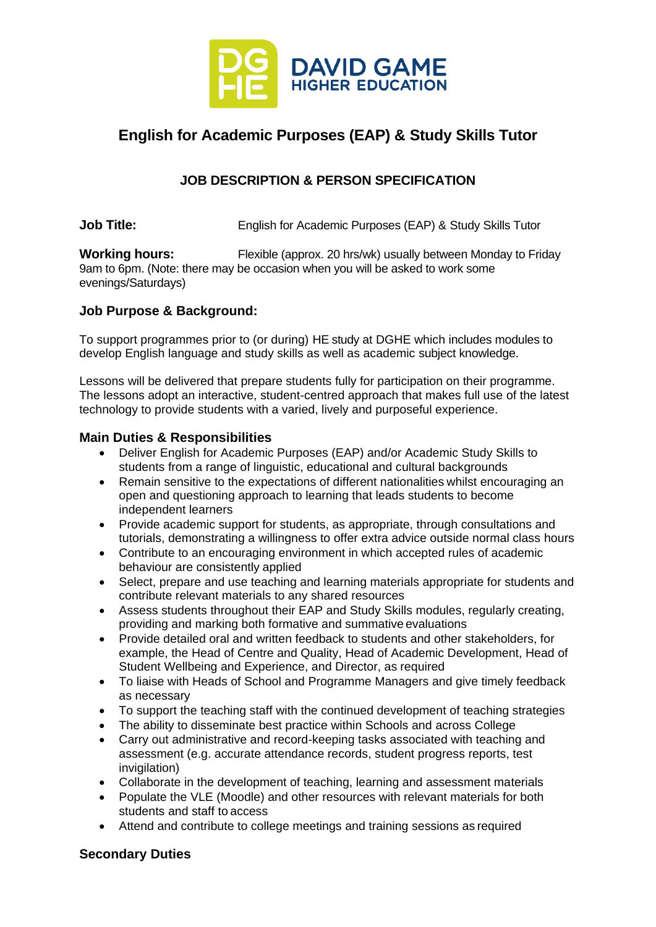

# **English for Academic Purposes (EAP) & Study Skills Tutor**

## **JOB DESCRIPTION & PERSON SPECIFICATION**

**Job Title:** English for Academic Purposes (EAP) & Study Skills Tutor

**Working hours:** Flexible (approx. 20 hrs/wk) usually between Monday to Friday 9am to 6pm. (Note: there may be occasion when you will be asked to work some evenings/Saturdays)

#### **Job Purpose & Background:**

To support programmes prior to (or during) HE study at DGHE which includes modules to develop English language and study skills as well as academic subject knowledge.

Lessons will be delivered that prepare students fully for participation on their programme. The lessons adopt an interactive, student-centred approach that makes full use of the latest technology to provide students with a varied, lively and purposeful experience.

#### **Main Duties & Responsibilities**

- Deliver English for Academic Purposes (EAP) and/or Academic Study Skills to students from a range of linguistic, educational and cultural backgrounds
- Remain sensitive to the expectations of different nationalities whilst encouraging an open and questioning approach to learning that leads students to become independent learners
- Provide academic support for students, as appropriate, through consultations and tutorials, demonstrating a willingness to offer extra advice outside normal class hours
- Contribute to an encouraging environment in which accepted rules of academic behaviour are consistently applied
- Select, prepare and use teaching and learning materials appropriate for students and contribute relevant materials to any shared resources
- Assess students throughout their EAP and Study Skills modules, regularly creating, providing and marking both formative and summative evaluations
- Provide detailed oral and written feedback to students and other stakeholders, for example, the Head of Centre and Quality, Head of Academic Development, Head of Student Wellbeing and Experience, and Director, as required
- To liaise with Heads of School and Programme Managers and give timely feedback as necessary
- To support the teaching staff with the continued development of teaching strategies
- The ability to disseminate best practice within Schools and across College
- Carry out administrative and record-keeping tasks associated with teaching and assessment (e.g. accurate attendance records, student progress reports, test invigilation)
- Collaborate in the development of teaching, learning and assessment materials
- Populate the VLE (Moodle) and other resources with relevant materials for both students and staff to access
- Attend and contribute to college meetings and training sessions as required

#### **Secondary Duties**